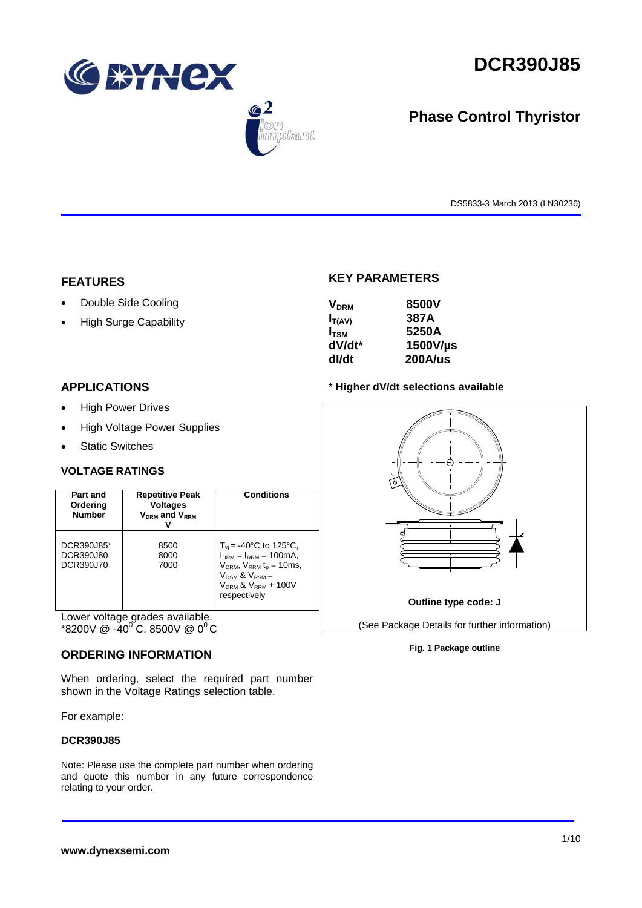

 $\bigcirc$  2

.<br>blant



# **Phase Control Thyristor**

DS5833-3 March 2013 (LN30236)

#### **FEATURES**

- Double Side Cooling
- High Surge Capability

## **KEY PARAMETERS**

| <b>V<sub>DRM</sub></b> | 8500V    |
|------------------------|----------|
| $I_{T(AV)}$            | 387A     |
| $I_{TSM}$              | 5250A    |
| dV/dt*                 | 1500V/µs |
| dl/dt                  | 200A/us  |

#### **APPLICATIONS**

- High Power Drives
- High Voltage Power Supplies
- Static Switches

### **VOLTAGE RATINGS**

| Part and<br>Ordering<br><b>Number</b> | <b>Repetitive Peak</b><br><b>Voltages</b><br>$V_{DRM}$ and $V_{RRM}$ | <b>Conditions</b>                                                                                                                                                                         |
|---------------------------------------|----------------------------------------------------------------------|-------------------------------------------------------------------------------------------------------------------------------------------------------------------------------------------|
| DCR390J85*<br>DCR390J80<br>DCR390J70  | 8500<br>8000<br>7000                                                 | $T_{\rm vi}$ = -40°C to 125°C,<br>$I_{DRM} = I_{RRM} = 100 \text{mA}$<br>$V_{DRM}$ , $V_{RRM}$ $t_{p}$ = 10ms,<br>$V_{DSM}$ & $V_{RSM}$ =<br>$V_{DRM}$ & $V_{RRM}$ + 100V<br>respectively |

Lower voltage grades available. \*8200V @ -40<sup>°</sup>C, 8500V @ 0<sup>°</sup>C

### **ORDERING INFORMATION**

When ordering, select the required part number shown in the Voltage Ratings selection table.

For example:

#### **DCR390J85**

Note: Please use the complete part number when ordering and quote this number in any future correspondence relating to your order.

#### \* **Higher dV/dt selections available**



#### **Fig. 1 Package outline**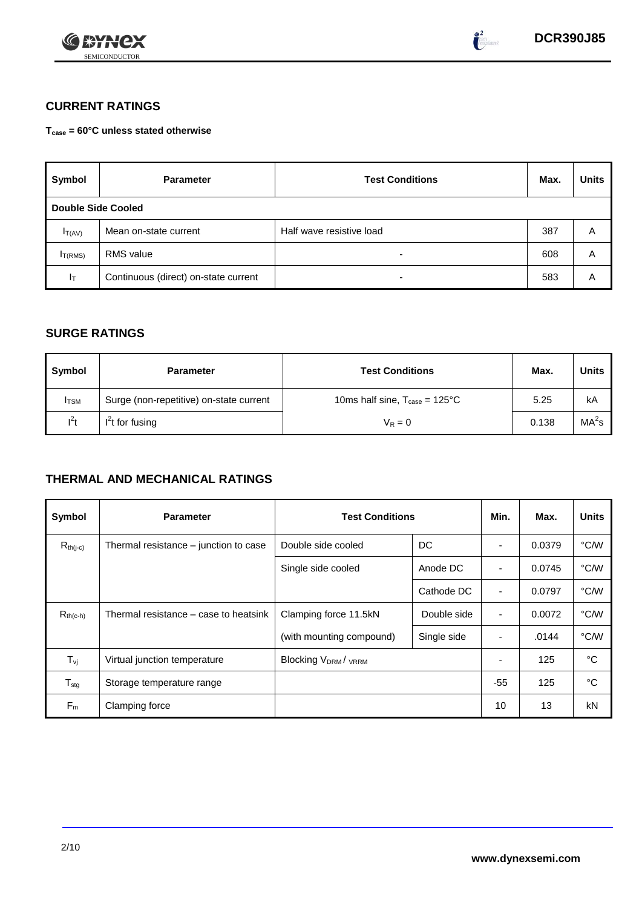



 $\bullet^2$ 

# **CURRENT RATINGS**

**Tcase = 60°C unless stated otherwise**

| Symbol                    | <b>Parameter</b>                     | <b>Test Conditions</b>   | Max. | <b>Units</b> |
|---------------------------|--------------------------------------|--------------------------|------|--------------|
| <b>Double Side Cooled</b> |                                      |                          |      |              |
| $I_{T(AV)}$               | Mean on-state current                | Half wave resistive load | 387  | A            |
| I <sub>T(RMS)</sub>       | <b>RMS</b> value                     | $\overline{\phantom{0}}$ | 608  | A            |
| $I_T$                     | Continuous (direct) on-state current | $\overline{\phantom{0}}$ | 583  | А            |

## **SURGE RATINGS**

| Symbol       | <b>Parameter</b>                        | <b>Test Conditions</b>                            | Max.  | Units             |
|--------------|-----------------------------------------|---------------------------------------------------|-------|-------------------|
| <b>I</b> TSM | Surge (non-repetitive) on-state current | 10ms half sine, $T_{\text{case}} = 125^{\circ}$ C | 5.25  | kA                |
| $I^2t$       | $I2t$ for fusing                        | $V_R = 0$                                         | 0.138 | MA <sup>2</sup> s |

## **THERMAL AND MECHANICAL RATINGS**

| Symbol           | <b>Parameter</b>                      | <b>Test Conditions</b>    |             | Min.                     | Max.   | <b>Units</b> |
|------------------|---------------------------------------|---------------------------|-------------|--------------------------|--------|--------------|
| $R_{th(j-c)}$    | Thermal resistance – junction to case | Double side cooled        | DC          |                          | 0.0379 | °C/W         |
|                  |                                       | Single side cooled        | Anode DC    |                          | 0.0745 | °C/W         |
|                  |                                       |                           | Cathode DC  | $\overline{\phantom{a}}$ | 0.0797 | °C/W         |
| $R_{th(c-h)}$    | Thermal resistance – case to heatsink | Clamping force 11.5kN     | Double side | $\blacksquare$           | 0.0072 | °C/W         |
|                  |                                       | (with mounting compound)  | Single side |                          | .0144  | °C/W         |
| $T_{\rm vj}$     | Virtual junction temperature          | <b>Blocking VDRM/VRRM</b> |             |                          | 125    | °C           |
| $T_{\text{stg}}$ | Storage temperature range             |                           |             | $-55$                    | 125    | °C           |
| $F_m$            | Clamping force                        |                           |             | 10                       | 13     | kN           |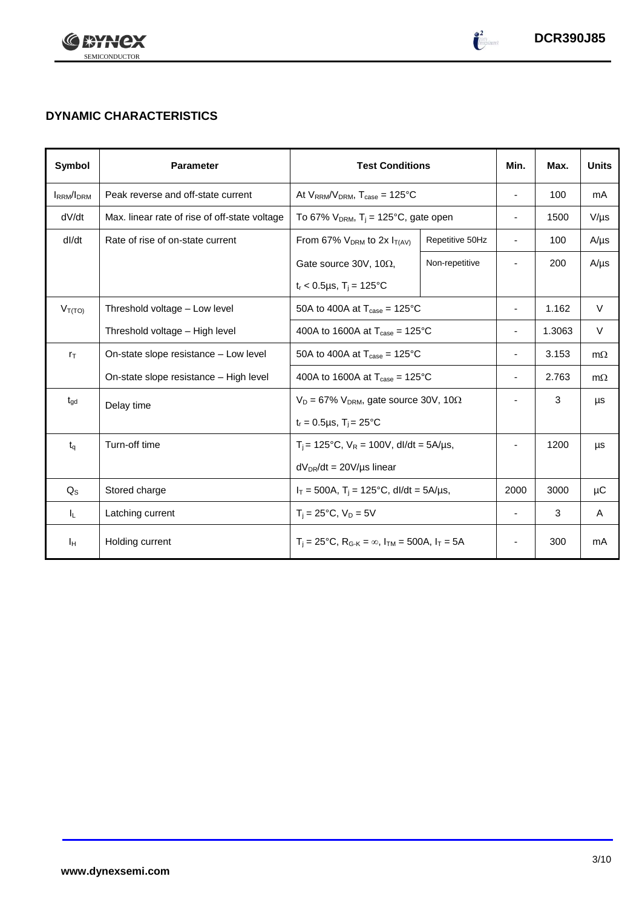



 $\frac{2}{\log\left(1-\frac{1}{2}\right)}$ 

# **DYNAMIC CHARACTERISTICS**

| Symbol            | <b>Parameter</b>                              | <b>Test Conditions</b>                                                                          |                 | Min.                         | Max.   | <b>Units</b> |
|-------------------|-----------------------------------------------|-------------------------------------------------------------------------------------------------|-----------------|------------------------------|--------|--------------|
| <b>IRRM</b> /IDRM | Peak reverse and off-state current            | At $V_{RRM}/V_{DRM}$ , $T_{case} = 125^{\circ}C$                                                |                 | $\overline{\phantom{a}}$     | 100    | mA           |
| dV/dt             | Max. linear rate of rise of off-state voltage | To 67% $V_{DRM}$ , T <sub>i</sub> = 125°C, gate open                                            |                 | $\blacksquare$               | 1500   | $V/\mu s$    |
| dl/dt             | Rate of rise of on-state current              | From 67% $V_{DRM}$ to 2x $I_{T(AV)}$                                                            | Repetitive 50Hz | $\overline{\phantom{a}}$     | 100    | $A/\mu s$    |
|                   |                                               | Gate source 30V, 10 $\Omega$ ,                                                                  | Non-repetitive  |                              | 200    | $A/\mu s$    |
|                   |                                               | $t_r < 0.5 \mu s$ , T <sub>i</sub> = 125°C                                                      |                 |                              |        |              |
| $V_{T(TO)}$       | Threshold voltage - Low level                 | 50A to 400A at $T_{\text{case}} = 125^{\circ}$ C                                                |                 |                              | 1.162  | $\vee$       |
|                   | Threshold voltage - High level                | 400A to 1600A at $T_{\text{case}} = 125^{\circ}$ C                                              |                 |                              | 1.3063 | V            |
| $r_{\text{T}}$    | On-state slope resistance – Low level         | 50A to 400A at $T_{\text{case}} = 125^{\circ}$ C                                                |                 |                              | 3.153  | $m\Omega$    |
|                   | On-state slope resistance - High level        | 400A to 1600A at $T_{\text{case}} = 125^{\circ}$ C                                              |                 | $\overline{\phantom{0}}$     | 2.763  | $m\Omega$    |
| $t_{\text{qd}}$   | Delay time                                    | $V_D = 67\% V_{DRM}$ , gate source 30V, 10 $\Omega$                                             |                 |                              | 3      | μs           |
|                   |                                               | $t_r = 0.5 \mu s$ , $T_i = 25^{\circ}C$                                                         |                 |                              |        |              |
| $t_q$             | Turn-off time                                 | $T_i$ = 125°C, $V_R$ = 100V, dl/dt = 5A/µs,                                                     |                 |                              | 1200   | μs           |
|                   |                                               | $dV_{DR}/dt = 20V/\mu s$ linear                                                                 |                 |                              |        |              |
| $Q_{\rm S}$       | Stored charge                                 | $I_T = 500A$ , $T_i = 125^{\circ}C$ , dl/dt = 5A/µs,                                            |                 | 2000                         | 3000   | μC           |
| IL.               | Latching current                              | $T_i = 25^{\circ}C$ , $V_D = 5V$                                                                |                 | $\blacksquare$               | 3      | A            |
| Iн                | Holding current                               | $T_i = 25^{\circ}C$ , R <sub>G-K</sub> = $\infty$ , I <sub>TM</sub> = 500A, I <sub>T</sub> = 5A |                 | $\qquad \qquad \blacksquare$ | 300    | mA           |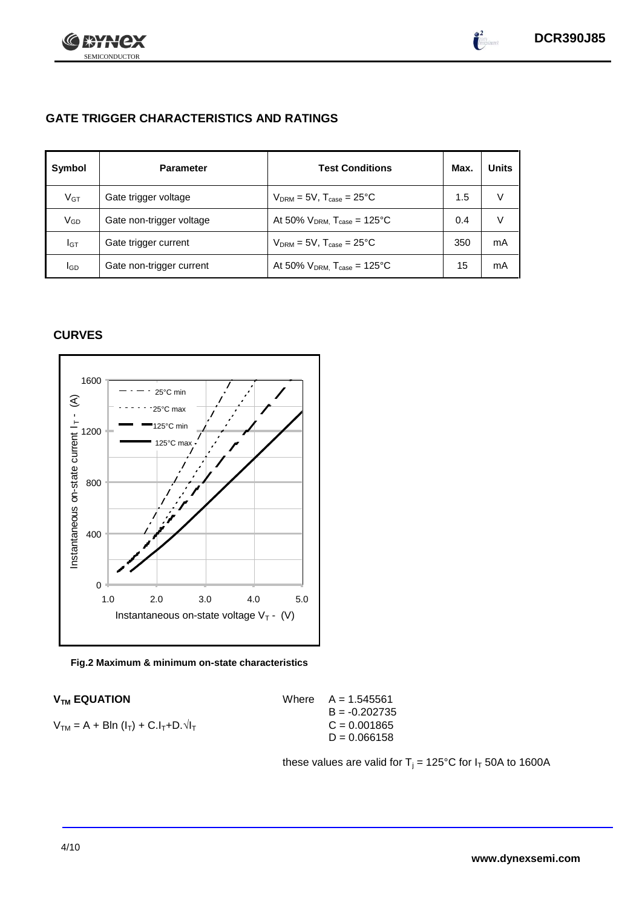

 $\int_{0}^{2}$ 

# **GATE TRIGGER CHARACTERISTICS AND RATINGS**

| Symbol   | <b>Parameter</b>         | <b>Test Conditions</b>                       | Max. | <b>Units</b> |
|----------|--------------------------|----------------------------------------------|------|--------------|
| $V_{GT}$ | Gate trigger voltage     | $V_{DRM}$ = 5V, $T_{case}$ = 25°C            | 1.5  | V            |
| VGD      | Gate non-trigger voltage | At 50% $V_{DRM}$ , $T_{case} = 125^{\circ}C$ | 0.4  |              |
| IGТ      | Gate trigger current     | $V_{DRM}$ = 5V, $T_{case}$ = 25°C            | 350  | mA           |
| lgp      | Gate non-trigger current | At 50% $V_{DRM}$ , $T_{case} = 125^{\circ}C$ | 15   | mA           |

## **CURVES**



**Fig.2 Maximum & minimum on-state characteristics**

 $V_{TM} = A + B\ln(I_T) + C.I_T + D.\sqrt{I_T}$  C = 0.001865

 $V_{TM}$  **EQUATION** Where  $A = 1.545561$  $B = -0.202735$  $D = 0.066158$ 

these values are valid for  $T_j = 125^{\circ}C$  for  $I_T$  50A to 1600A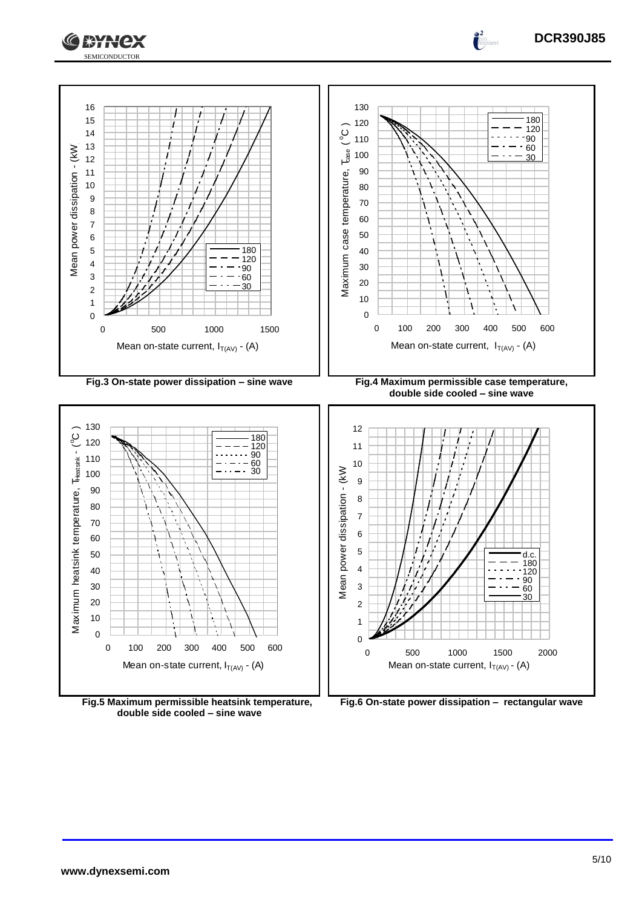



**Fig.5 Maximum permissible heatsink temperature, double side cooled – sine wave**

 $\frac{2}{\pi}$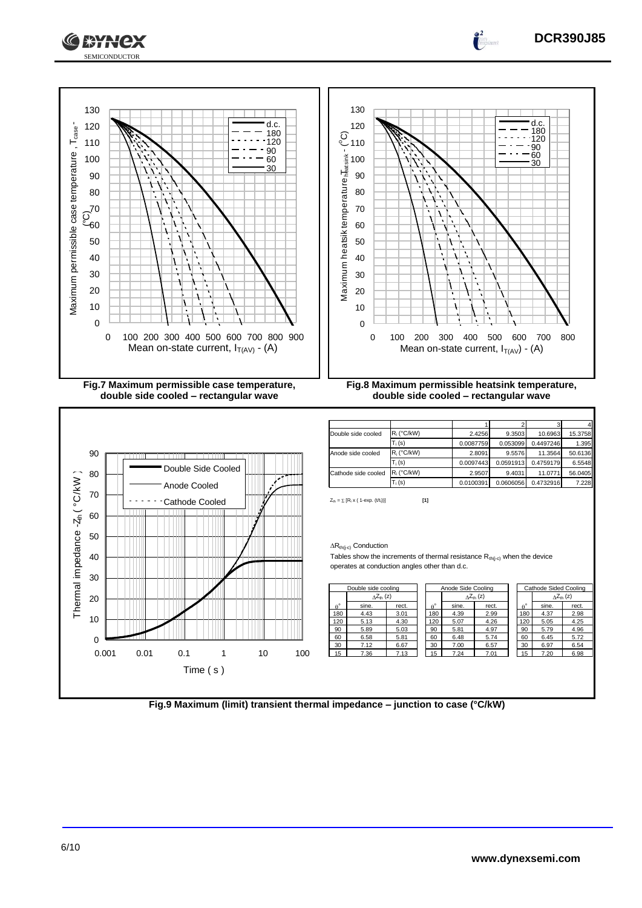



**Fig.9 Maximum (limit) transient thermal impedance – junction to case (°C/kW)**

**DCR390J85**

 $\frac{2}{\pi}$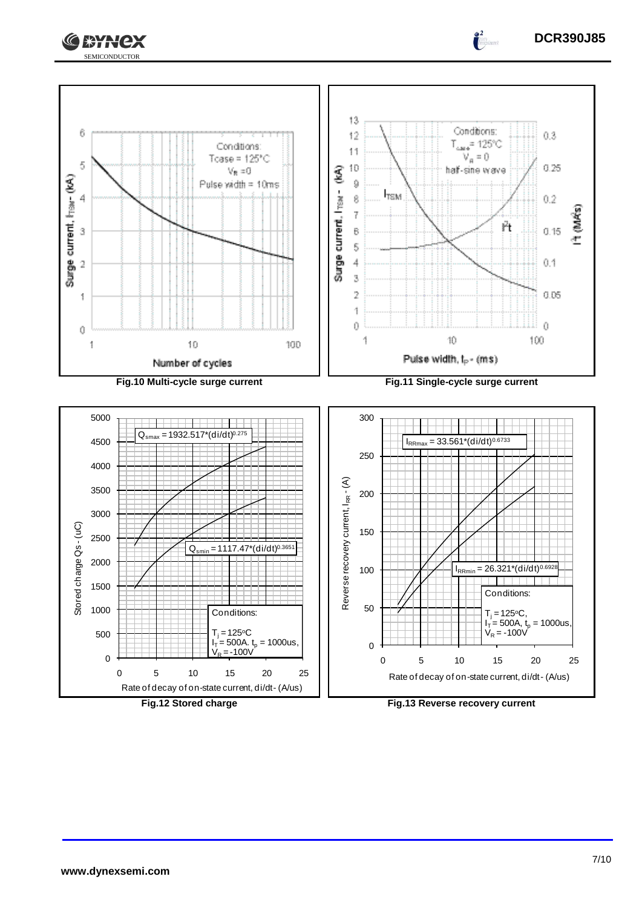



Rate of decay of on-state current, di/dt - (A/us)

**Fig.12 Stored charge Fig.13 Reverse recovery current**



 $\int_0^2$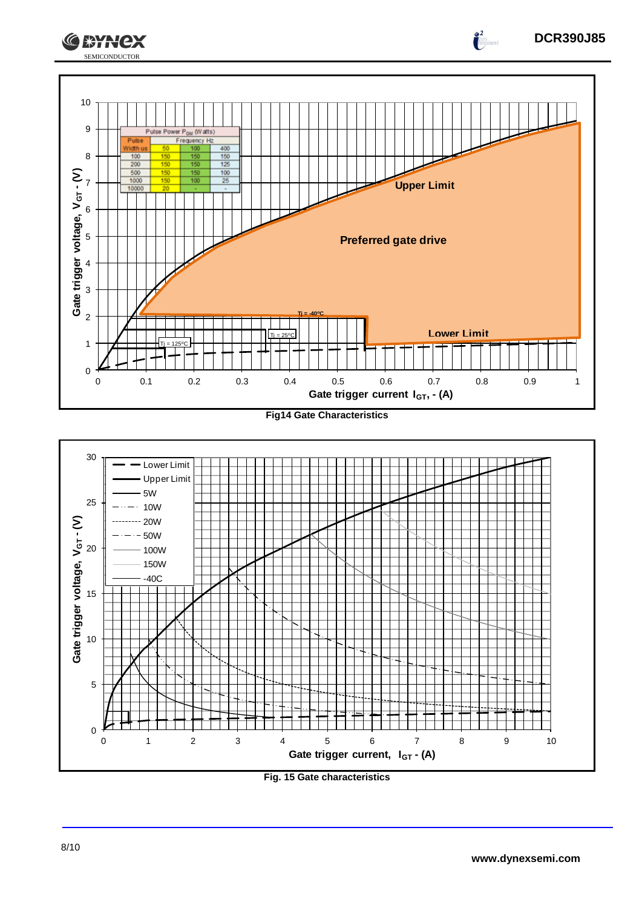







**DCR390J85**

 $\int_0^2$ 

30

SEMICONDUCTOR

**CEYNEX**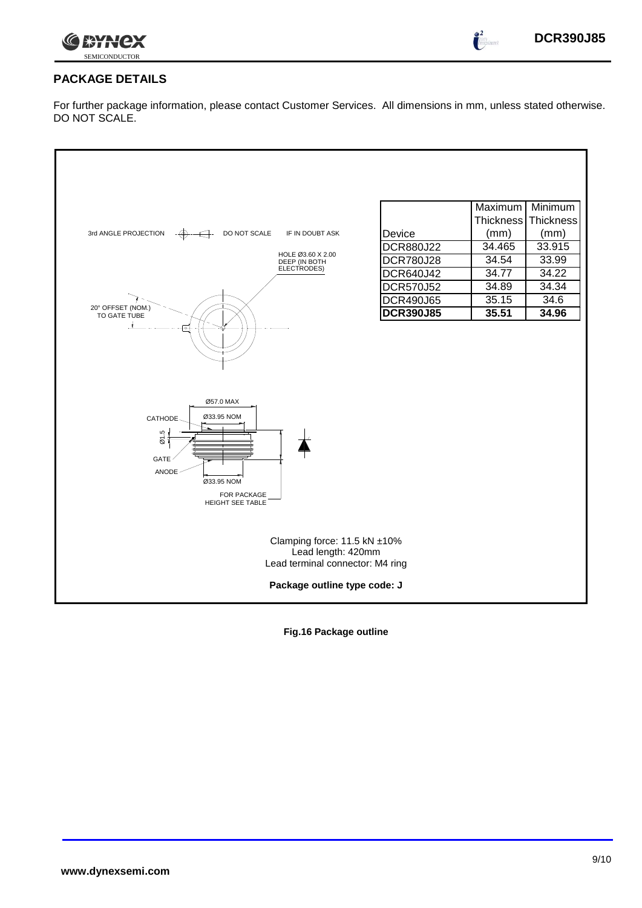

 $\frac{2}{1}$ 

## **PACKAGE DETAILS**

For further package information, please contact Customer Services. All dimensions in mm, unless stated otherwise. DO NOT SCALE.



**Fig.16 Package outline**